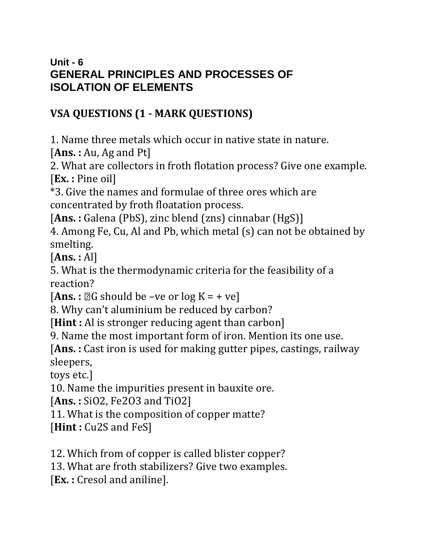#### **Unit - 6 GENERAL PRINCIPLES AND PROCESSES OF ISOLATION OF ELEMENTS**

### **VSA QUESTIONS (1 - MARK QUESTIONS)**

1. Name three metals which occur in native state in nature.

[**Ans. :** Au, Ag and Pt]

2. What are collectors in froth flotation process? Give one example. [**Ex. :** Pine oil]

\*3. Give the names and formulae of three ores which are concentrated by froth floatation process.

[Ans.: Galena (PbS), zinc blend (zns) cinnabar (HgS)]

4. Among Fe, Cu, Al and Pb, which metal (s) can not be obtained by smelting.

[**Ans. :** Al]

5. What is the thermodynamic criteria for the feasibility of a reaction?

 $[Ans.: \mathbb{Z}G$  should be –ve or  $log K = +ve$ ]

8. Why can't aluminium be reduced by carbon?

[**Hint** : Al is stronger reducing agent than carbon]

9. Name the most important form of iron. Mention its one use.

[**Ans. :** Cast iron is used for making gutter pipes, castings, railway sleepers,

toys etc.]

10. Name the impurities present in bauxite ore.

[**Ans. :** SiO2, Fe2O3 and TiO2]

11. What is the composition of copper matte?

[**Hint**: Cu2S and FeS]

12. Which from of copper is called blister copper?

13. What are froth stabilizers? Give two examples.

[**Ex. :** Cresol and aniline].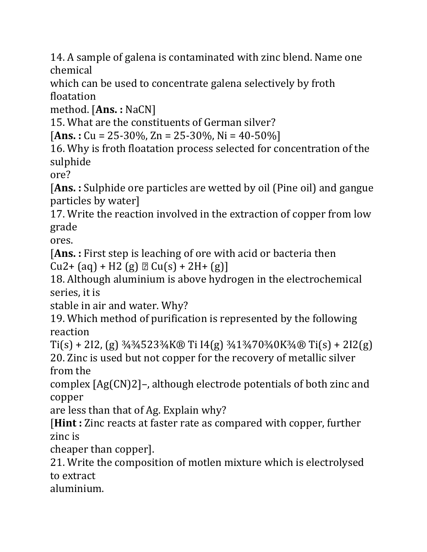14. A sample of galena is contaminated with zinc blend. Name one chemical

which can be used to concentrate galena selectively by froth floatation

method. [**Ans. :** NaCN]

15. What are the constituents of German silver?

[**Ans. :** Cu = 25-30%, Zn = 25-30%, Ni = 40-50%]

16. Why is froth floatation process selected for concentration of the sulphide

ore?

[**Ans. :** Sulphide ore particles are wetted by oil (Pine oil) and gangue particles by water]

17. Write the reaction involved in the extraction of copper from low grade

ores.

[**Ans. :** First step is leaching of ore with acid or bacteria then  $Cu2 + (aq) + H2 (g) \nD$   $Cu(s) + 2H + (g)$ 

18. Although aluminium is above hydrogen in the electrochemical series, it is

stable in air and water. Why?

19. Which method of purification is represented by the following reaction

 $Ti(s) + 2I2$ , (g)  $\frac{3}{4}$  $\frac{3}{4}$ 523 $\frac{3}{4}$ K® Ti I4(g)  $\frac{3}{4}$ 1 $\frac{3}{4}$ 70 $\frac{3}{4}$ OK $\frac{3}{4}$ ® Ti(s) + 2I2(g) 20. Zinc is used but not copper for the recovery of metallic silver from the

complex [Ag(CN)2]–, although electrode potentials of both zinc and copper

are less than that of Ag. Explain why?

[**Hint :** Zinc reacts at faster rate as compared with copper, further zinc is

cheaper than copper].

21. Write the composition of motlen mixture which is electrolysed to extract

aluminium.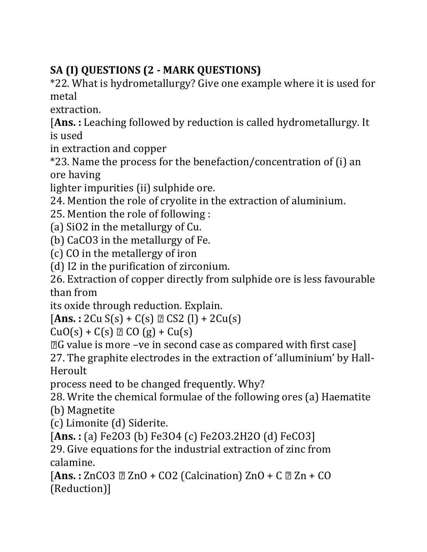# **SA (I) QUESTIONS (2 - MARK QUESTIONS)**

\*22. What is hydrometallurgy? Give one example where it is used for metal

extraction.

[**Ans. :** Leaching followed by reduction is called hydrometallurgy. It is used

in extraction and copper

\*23. Name the process for the benefaction/concentration of (i) an ore having

lighter impurities (ii) sulphide ore.

24. Mention the role of cryolite in the extraction of aluminium.

25. Mention the role of following :

(a) SiO2 in the metallurgy of Cu.

(b) CaCO3 in the metallurgy of Fe.

(c) CO in the metallergy of iron

(d) I2 in the purification of zirconium.

26. Extraction of copper directly from sulphide ore is less favourable than from

its oxide through reduction. Explain.

[**Ans. :** 2Cu S(s) + C(s) CS2 (l) + 2Cu(s)

 $CuO(s) + C(s) \n\t\mathbb{Z} CO(g) + Cu(s)$ 

G value is more –ve in second case as compared with first case]

27. The graphite electrodes in the extraction of 'alluminium' by Hall-Heroult

process need to be changed frequently. Why?

28. Write the chemical formulae of the following ores (a) Haematite

(b) Magnetite

(c) Limonite (d) Siderite.

[**Ans. :** (a) Fe2O3 (b) Fe3O4 (c) Fe2O3.2H2O (d) FeCO3]

29. Give equations for the industrial extraction of zinc from calamine.

[**Ans. :** ZnCO3 ZnO + CO2 (Calcination) ZnO + C Zn + CO (Reduction)]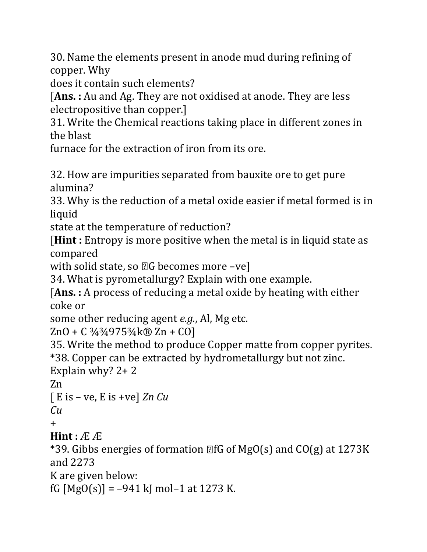30. Name the elements present in anode mud during refining of copper. Why

does it contain such elements?

[**Ans. :** Au and Ag. They are not oxidised at anode. They are less electropositive than copper.]

31. Write the Chemical reactions taking place in different zones in the blast

furnace for the extraction of iron from its ore.

32. How are impurities separated from bauxite ore to get pure alumina?

33. Why is the reduction of a metal oxide easier if metal formed is in liquid

state at the temperature of reduction?

[**Hint :** Entropy is more positive when the metal is in liquid state as compared

with solid state, so  $\mathbb{Z}G$  becomes more -vel

34. What is pyrometallurgy? Explain with one example.

[**Ans. :** A process of reducing a metal oxide by heating with either coke or

some other reducing agent *e.g.*, Al, Mg etc.

ZnO + C ¾¾975¾k® Zn + CO]

35. Write the method to produce Copper matte from copper pyrites. \*38. Copper can be extracted by hydrometallurgy but not zinc.

Explain why? 2+ 2

Zn

```
[ E is – ve, E is +ve] Zn Cu
```
*Cu*

 $+$ 

 $Hint: \mathbb{A} \mathbb{A}$ 

\*39. Gibbs energies of formation  $\mathbb{Z}$ fG of MgO(s) and CO(g) at 1273K and 2273

K are given below:

fG  $[MgO(s)] = -941$  kJ mol-1 at 1273 K.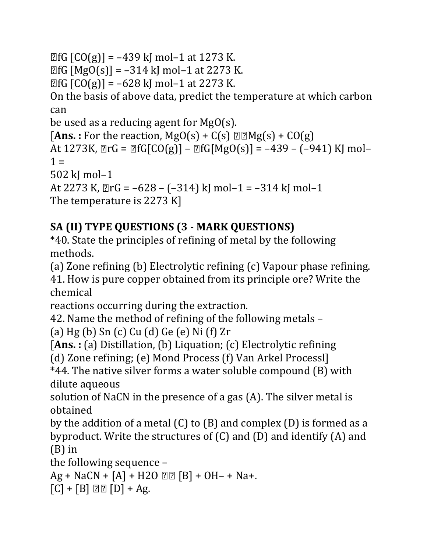```
\mathbb{E}[G(G(g)] = -439 \text{ kJ} \text{ mol} - 1 \text{ at } 1273 \text{ K}.
```
 $[**B**fG [MgO(s)] = -314$  kJ mol-1 at 2273 K.

 $[**CG**  $[**CO**(**g**)] = -628 \text{ k} \text{ mol} - 1 \text{ at } 2273 \text{ K}.$$ 

On the basis of above data, predict the temperature at which carbon can

be used as a reducing agent for MgO(s).

[Ans. : For the reaction,  $MgO(s) + C(s) \Box Mg(s) + CO(g)$ ] At  $1273K$ ,  $\mathbb{Z}$ rG =  $\mathbb{Z}$ fG[CO(g)] –  $\mathbb{Z}$ fG[MgO(s)] = –439 – (–941) KJ mol–  $1 =$ 502 kJ mol–1 At 2273 K,  $\mathbb{Z}$ rG = –628 – (–314) kJ mol–1 = –314 kJ mol–1 The temperature is 2273 K]

## **SA (II) TYPE QUESTIONS (3 - MARK QUESTIONS)**

\*40. State the principles of refining of metal by the following methods.

(a) Zone refining (b) Electrolytic refining (c) Vapour phase refining.

41. How is pure copper obtained from its principle ore? Write the chemical

reactions occurring during the extraction.

42. Name the method of refining of the following metals –

(a) Hg (b) Sn (c) Cu (d) Ge (e) Ni (f) Zr

```
[Ans. : (a) Distillation, (b) Liquation; (c) Electrolytic refining
```
(d) Zone refining; (e) Mond Process (f) Van Arkel Processl]

\*44. The native silver forms a water soluble compound (B) with dilute aqueous

solution of NaCN in the presence of a gas (A). The silver metal is obtained

by the addition of a metal (C) to (B) and complex (D) is formed as a byproduct. Write the structures of (C) and (D) and identify (A) and (B) in

the following sequence –

 $Ag + NaCN + [A] + H2O \ 22 [B] + OH - H Na +$ .

 $[C] + [B] \ 22 [D] + Ag.$